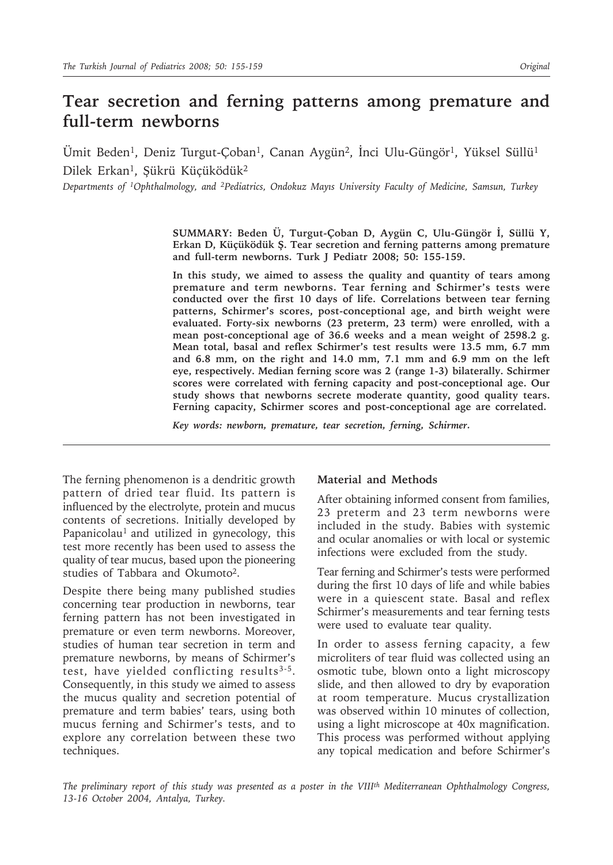# **Tear secretion and ferning patterns among premature and full-term newborns**

Ümit Beden<sup>1</sup>, Deniz Turgut-Çoban<sup>1</sup>, Canan Aygün<sup>2</sup>, İnci Ulu-Güngör<sup>1</sup>, Yüksel Süllü<sup>1</sup> Dilek Erkan<sup>1</sup>, Şükrü Küçüködük<sup>2</sup>

*Departments of 1Ophthalmology, and 2Pediatrics, Ondokuz Mayıs University Faculty of Medicine, Samsun, Turkey*

**SUMMARY: Beden Ü, Turgut-Çoban D, Aygün C, Ulu-Güngör İ, Süllü Y, Erkan D, Küçüködük Ş. Tear secretion and ferning patterns among premature and full-term newborns. Turk J Pediatr 2008; 50: 155-159.**

**In this study, we aimed to assess the quality and quantity of tears among premature and term newborns. Tear ferning and Schirmer's tests were conducted over the first 10 days of life. Correlations between tear ferning patterns, Schirmer's scores, post-conceptional age, and birth weight were evaluated. Forty-six newborns (23 preterm, 23 term) were enrolled, with a mean post-conceptional age of 36.6 weeks and a mean weight of 2598.2 g. Mean total, basal and reflex Schirmer's test results were 13.5 mm, 6.7 mm and 6.8 mm, on the right and 14.0 mm, 7.1 mm and 6.9 mm on the left eye, respectively. Median ferning score was 2 (range 1-3) bilaterally. Schirmer scores were correlated with ferning capacity and post-conceptional age. Our study shows that newborns secrete moderate quantity, good quality tears. Ferning capacity, Schirmer scores and post-conceptional age are correlated.**

*Key words: newborn, premature, tear secretion, ferning, Schirmer.*

The ferning phenomenon is a dendritic growth pattern of dried tear fluid. Its pattern is influenced by the electrolyte, protein and mucus contents of secretions. Initially developed by Papanicolau<sup>1</sup> and utilized in gynecology, this test more recently has been used to assess the quality of tear mucus, based upon the pioneering studies of Tabbara and Okumoto<sup>2</sup>.

Despite there being many published studies concerning tear production in newborns, tear ferning pattern has not been investigated in premature or even term newborns. Moreover, studies of human tear secretion in term and premature newborns, by means of Schirmer's test, have yielded conflicting results3-5. Consequently, in this study we aimed to assess the mucus quality and secretion potential of premature and term babies' tears, using both mucus ferning and Schirmer's tests, and to explore any correlation between these two techniques.

### **Material and Methods**

After obtaining informed consent from families, 23 preterm and 23 term newborns were included in the study. Babies with systemic and ocular anomalies or with local or systemic infections were excluded from the study.

Tear ferning and Schirmer's tests were performed during the first 10 days of life and while babies were in a quiescent state. Basal and reflex Schirmer's measurements and tear ferning tests were used to evaluate tear quality.

In order to assess ferning capacity, a few microliters of tear fluid was collected using an osmotic tube, blown onto a light microscopy slide, and then allowed to dry by evaporation at room temperature. Mucus crystallization was observed within 10 minutes of collection, using a light microscope at 40x magnification. This process was performed without applying any topical medication and before Schirmer's

*The preliminary report of this study was presented as a poster in the VIIIth Mediterranean Ophthalmology Congress, 13-16 October 2004, Antalya, Turkey.*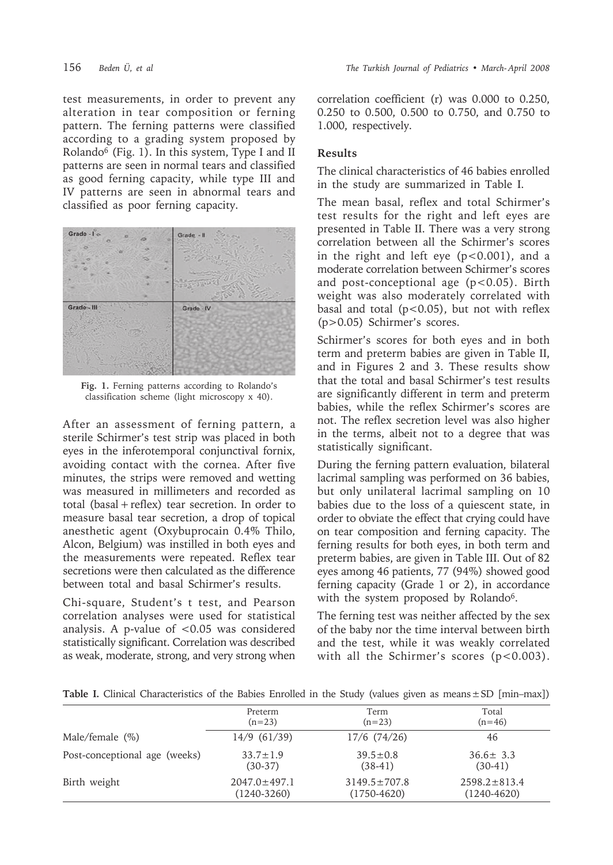test measurements, in order to prevent any alteration in tear composition or ferning pattern. The ferning patterns were classified according to a grading system proposed by Rolando<sup>6</sup> (Fig. 1). In this system, Type I and II patterns are seen in normal tears and classified as good ferning capacity, while type III and IV patterns are seen in abnormal tears and classified as poor ferning capacity.



**Fig. 1.** Ferning patterns according to Rolando's classification scheme (light microscopy x 40).

After an assessment of ferning pattern, a sterile Schirmer's test strip was placed in both eyes in the inferotemporal conjunctival fornix, avoiding contact with the cornea. After five minutes, the strips were removed and wetting was measured in millimeters and recorded as total (basal + reflex) tear secretion. In order to measure basal tear secretion, a drop of topical anesthetic agent (Oxybuprocain 0.4% Thilo, Alcon, Belgium) was instilled in both eyes and the measurements were repeated. Reflex tear secretions were then calculated as the difference between total and basal Schirmer's results.

Chi-square, Student's t test, and Pearson correlation analyses were used for statistical analysis. A p-value of  $< 0.05$  was considered statistically significant. Correlation was described as weak, moderate, strong, and very strong when correlation coefficient (r) was 0.000 to 0.250, 0.250 to 0.500, 0.500 to 0.750, and 0.750 to 1.000, respectively.

# **Results**

The clinical characteristics of 46 babies enrolled in the study are summarized in Table I.

The mean basal, reflex and total Schirmer's test results for the right and left eyes are presented in Table II. There was a very strong correlation between all the Schirmer's scores in the right and left eye  $(p<0.001)$ , and a moderate correlation between Schirmer's scores and post-conceptional age  $(p<0.05)$ . Birth weight was also moderately correlated with basal and total ( $p < 0.05$ ), but not with reflex (p>0.05) Schirmer's scores.

Schirmer's scores for both eyes and in both term and preterm babies are given in Table II, and in Figures 2 and 3. These results show that the total and basal Schirmer's test results are significantly different in term and preterm babies, while the reflex Schirmer's scores are not. The reflex secretion level was also higher in the terms, albeit not to a degree that was statistically significant.

During the ferning pattern evaluation, bilateral lacrimal sampling was performed on 36 babies, but only unilateral lacrimal sampling on 10 babies due to the loss of a quiescent state, in order to obviate the effect that crying could have on tear composition and ferning capacity. The ferning results for both eyes, in both term and preterm babies, are given in Table III. Out of 82 eyes among 46 patients, 77 (94%) showed good ferning capacity (Grade 1 or 2), in accordance with the system proposed by Rolando<sup>6</sup>.

The ferning test was neither affected by the sex of the baby nor the time interval between birth and the test, while it was weakly correlated with all the Schirmer's scores  $(p<0.003)$ .

| Table I. Clinical Characteristics of the Babies Enrolled in the Study (values given as means $\pm$ SD [min-max]) |  |  |
|------------------------------------------------------------------------------------------------------------------|--|--|
|------------------------------------------------------------------------------------------------------------------|--|--|

|                               | Preterm            | Term               | Total              |
|-------------------------------|--------------------|--------------------|--------------------|
|                               | $(n=23)$           | $(n=23)$           | $(n=46)$           |
| Male/female $(\%)$            | $14/9$ (61/39)     | $17/6$ $(74/26)$   | 46                 |
| Post-conceptional age (weeks) | $33.7 \pm 1.9$     | $39.5 \pm 0.8$     | $36.6 \pm 3.3$     |
|                               | $(30-37)$          | $(38-41)$          | $(30-41)$          |
| Birth weight                  | $2047.0 \pm 497.1$ | $3149.5 \pm 707.8$ | $2598.2 \pm 813.4$ |
|                               | $(1240-3260)$      | $(1750 - 4620)$    | $(1240 - 4620)$    |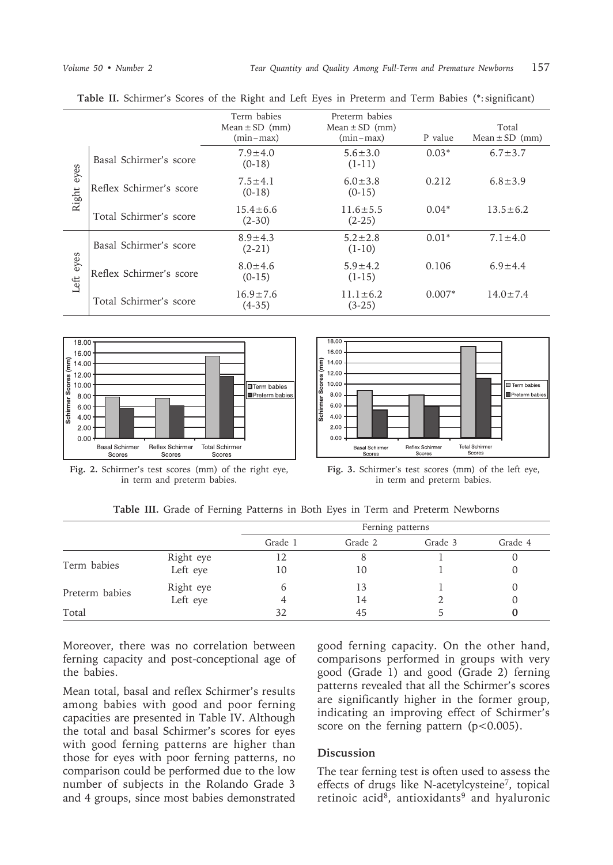|               |                         | Term babies<br>$Mean \pm SD$ (mm)<br>$(min-max)$ | Preterm babies<br>Mean $\pm$ SD (mm)<br>$(min-max)$ | P value  | Total<br>$Mean \pm SD$ (mm) |
|---------------|-------------------------|--------------------------------------------------|-----------------------------------------------------|----------|-----------------------------|
| eyes<br>Right | Basal Schirmer's score  | $7.9 \pm 4.0$<br>$(0-18)$                        | $5.6 \pm 3.0$<br>$(1-11)$                           | $0.03*$  | $6.7 \pm 3.7$               |
|               | Reflex Schirmer's score | $7.5 \pm 4.1$<br>$(0-18)$                        | $6.0 \pm 3.8$<br>$(0-15)$                           | 0.212    | $6.8 \pm 3.9$               |
|               | Total Schirmer's score  | $15.4 \pm 6.6$<br>$(2-30)$                       | $11.6 \pm 5.5$<br>$(2-25)$                          | $0.04*$  | $13.5 \pm 6.2$              |
| eyes<br>Left  | Basal Schirmer's score  | $8.9 \pm 4.3$<br>$(2-21)$                        | $5.2 \pm 2.8$<br>$(1-10)$                           | $0.01*$  | $7.1 \pm 4.0$               |
|               | Reflex Schirmer's score | $8.0 \pm 4.6$<br>$(0-15)$                        | $5.9 \pm 4.2$<br>$(1-15)$                           | 0.106    | $6.9 \pm 4.4$               |
|               | Total Schirmer's score  | $16.9 \pm 7.6$<br>$(4-35)$                       | $11.1 \pm 6.2$<br>$(3-25)$                          | $0.007*$ | $14.0 \pm 7.4$              |

**Table II.** Schirmer's Scores of the Right and Left Eyes in Preterm and Term Babies (\*: significant)



**Fig. 2.** Schirmer's test scores (mm) of the right eye, in term and preterm babies.



**Fig. 3.** Schirmer's test scores (mm) of the left eye, in term and preterm babies.

**Table III.** Grade of Ferning Patterns in Both Eyes in Term and Preterm Newborns

|                |           | Ferning patterns |         |         |         |
|----------------|-----------|------------------|---------|---------|---------|
|                |           | Grade 1          | Grade 2 | Grade 3 | Grade 4 |
| Term babies    | Right eye |                  |         |         |         |
|                | Left eye  | 10               | 10      |         |         |
| Preterm babies | Right eye | b                | 13      |         | $\cup$  |
|                | Left eye  |                  | 14      |         | O       |
| Total          |           | 32               | 45      |         |         |

Moreover, there was no correlation between ferning capacity and post-conceptional age of the babies.

Mean total, basal and reflex Schirmer's results among babies with good and poor ferning capacities are presented in Table IV. Although the total and basal Schirmer's scores for eyes with good ferning patterns are higher than those for eyes with poor ferning patterns, no comparison could be performed due to the low number of subjects in the Rolando Grade 3 and 4 groups, since most babies demonstrated

good ferning capacity. On the other hand, comparisons performed in groups with very good (Grade 1) and good (Grade 2) ferning patterns revealed that all the Schirmer's scores are significantly higher in the former group, indicating an improving effect of Schirmer's score on the ferning pattern  $(p<0.005)$ .

## **Discussion**

The tear ferning test is often used to assess the effects of drugs like N-acetylcysteine7, topical retinoic acid<sup>8</sup>, antioxidants<sup>9</sup> and hyaluronic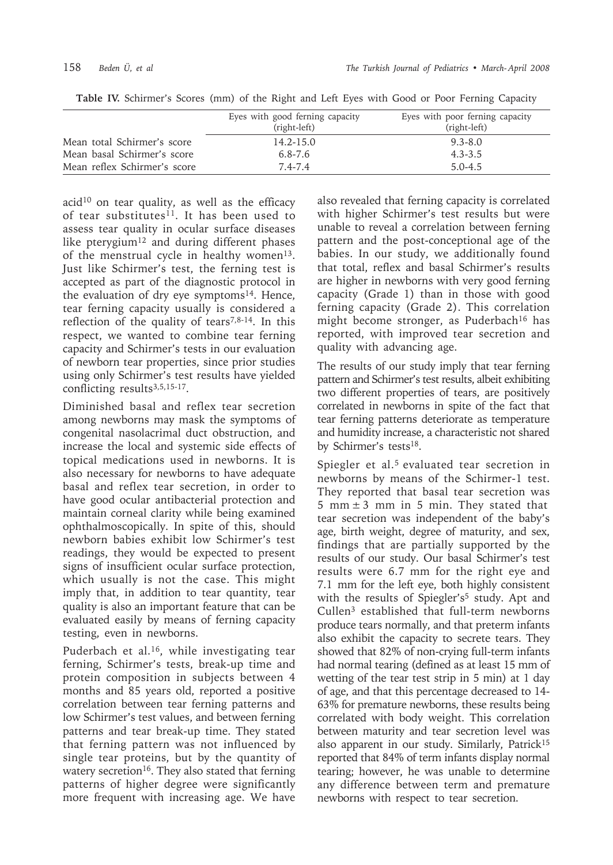|                              | Eyes with good ferning capacity<br>(right-left) | Eyes with poor ferning capacity<br>(right-left) |
|------------------------------|-------------------------------------------------|-------------------------------------------------|
| Mean total Schirmer's score  | $14.2 - 15.0$                                   | $9.3 - 8.0$                                     |
| Mean basal Schirmer's score  | $6.8 - 7.6$                                     | $4.3 - 3.5$                                     |
| Mean reflex Schirmer's score | $7.4 - 7.4$                                     | $5.0 - 4.5$                                     |

**Table IV.** Schirmer's Scores (mm) of the Right and Left Eyes with Good or Poor Ferning Capacity

 $acid<sup>10</sup>$  on tear quality, as well as the efficacy of tear substitutes<sup>11</sup>. It has been used to assess tear quality in ocular surface diseases like pterygium<sup>12</sup> and during different phases of the menstrual cycle in healthy women<sup>13</sup>. Just like Schirmer's test, the ferning test is accepted as part of the diagnostic protocol in the evaluation of dry eye symptoms<sup>14</sup>. Hence, tear ferning capacity usually is considered a reflection of the quality of tears<sup>7,8-14</sup>. In this respect, we wanted to combine tear ferning capacity and Schirmer's tests in our evaluation of newborn tear properties, since prior studies using only Schirmer's test results have yielded conflicting results<sup>3,5,15-17</sup>.

Diminished basal and reflex tear secretion among newborns may mask the symptoms of congenital nasolacrimal duct obstruction, and increase the local and systemic side effects of topical medications used in newborns. It is also necessary for newborns to have adequate basal and reflex tear secretion, in order to have good ocular antibacterial protection and maintain corneal clarity while being examined ophthalmoscopically. In spite of this, should newborn babies exhibit low Schirmer's test readings, they would be expected to present signs of insufficient ocular surface protection, which usually is not the case. This might imply that, in addition to tear quantity, tear quality is also an important feature that can be evaluated easily by means of ferning capacity testing, even in newborns.

Puderbach et al.<sup>16</sup>, while investigating tear ferning, Schirmer's tests, break-up time and protein composition in subjects between 4 months and 85 years old, reported a positive correlation between tear ferning patterns and low Schirmer's test values, and between ferning patterns and tear break-up time. They stated that ferning pattern was not influenced by single tear proteins, but by the quantity of watery secretion<sup>16</sup>. They also stated that ferning patterns of higher degree were significantly more frequent with increasing age. We have

also revealed that ferning capacity is correlated with higher Schirmer's test results but were unable to reveal a correlation between ferning pattern and the post-conceptional age of the babies. In our study, we additionally found that total, reflex and basal Schirmer's results are higher in newborns with very good ferning capacity (Grade 1) than in those with good ferning capacity (Grade 2). This correlation might become stronger, as Puderbach<sup>16</sup> has reported, with improved tear secretion and quality with advancing age.

The results of our study imply that tear ferning pattern and Schirmer's test results, albeit exhibiting two different properties of tears, are positively correlated in newborns in spite of the fact that tear ferning patterns deteriorate as temperature and humidity increase, a characteristic not shared by Schirmer's tests<sup>18</sup>.

Spiegler et al.<sup>5</sup> evaluated tear secretion in newborns by means of the Schirmer-1 test. They reported that basal tear secretion was 5 mm  $\pm$  3 mm in 5 min. They stated that tear secretion was independent of the baby's age, birth weight, degree of maturity, and sex, findings that are partially supported by the results of our study. Our basal Schirmer's test results were 6.7 mm for the right eye and 7.1 mm for the left eye, both highly consistent with the results of Spiegler's<sup>5</sup> study. Apt and Cullen3 established that full-term newborns produce tears normally, and that preterm infants also exhibit the capacity to secrete tears. They showed that 82% of non-crying full-term infants had normal tearing (defined as at least 15 mm of wetting of the tear test strip in 5 min) at 1 day of age, and that this percentage decreased to 14- 63% for premature newborns, these results being correlated with body weight. This correlation between maturity and tear secretion level was also apparent in our study. Similarly, Patrick<sup>15</sup> reported that 84% of term infants display normal tearing; however, he was unable to determine any difference between term and premature newborns with respect to tear secretion.